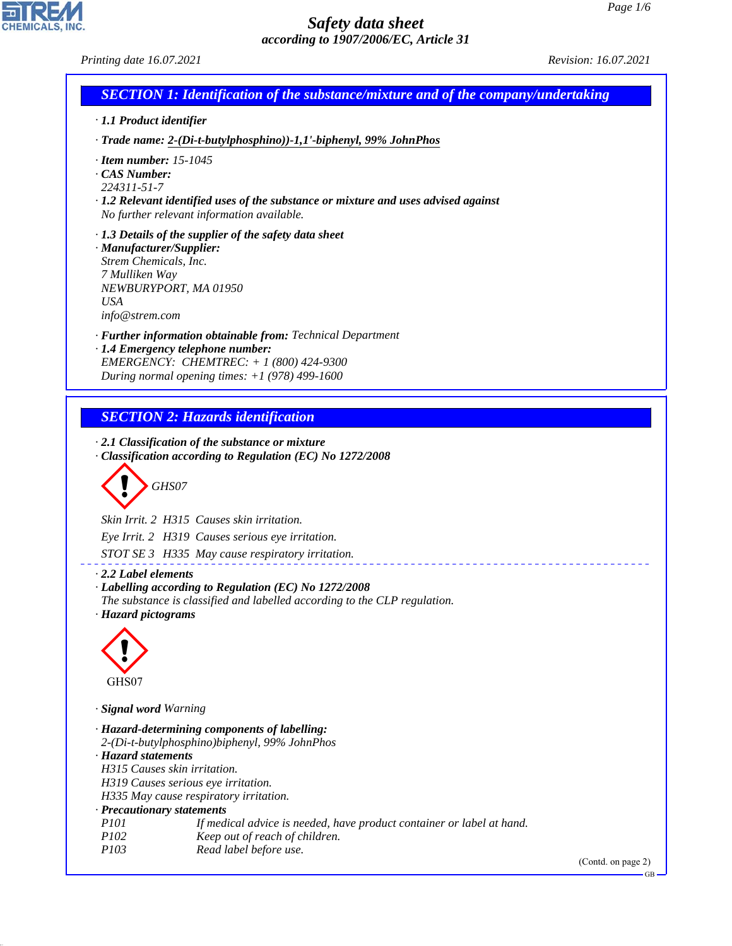GB

# *Safety data sheet according to 1907/2006/EC, Article 31*

CHEMICALS, INC.

44.1.1

| Printing date 16.07.2021                                                                                                                                                                                                                                                                                                                                                                        | Revision: 16.07.2021 |
|-------------------------------------------------------------------------------------------------------------------------------------------------------------------------------------------------------------------------------------------------------------------------------------------------------------------------------------------------------------------------------------------------|----------------------|
| <b>SECTION 1: Identification of the substance/mixture and of the company/undertaking</b>                                                                                                                                                                                                                                                                                                        |                      |
| · 1.1 Product identifier                                                                                                                                                                                                                                                                                                                                                                        |                      |
| · Trade name: 2-(Di-t-butylphosphino))-1,1'-biphenyl, 99% JohnPhos                                                                                                                                                                                                                                                                                                                              |                      |
| $\cdot$ Item number: 15-1045<br>$\cdot$ CAS Number:<br>224311-51-7<br>· 1.2 Relevant identified uses of the substance or mixture and uses advised against<br>No further relevant information available.                                                                                                                                                                                         |                      |
| $\cdot$ 1.3 Details of the supplier of the safety data sheet<br>· Manufacturer/Supplier:<br>Strem Chemicals, Inc.<br>7 Mulliken Way<br>NEWBURYPORT, MA 01950<br><b>USA</b><br>info@strem.com                                                                                                                                                                                                    |                      |
| · Further information obtainable from: Technical Department<br>· 1.4 Emergency telephone number:<br>EMERGENCY: CHEMTREC: $+ 1 (800) 424 - 9300$<br>During normal opening times: $+1$ (978) 499-1600                                                                                                                                                                                             |                      |
| <b>SECTION 2: Hazards identification</b>                                                                                                                                                                                                                                                                                                                                                        |                      |
| $\cdot$ 2.1 Classification of the substance or mixture<br>Classification according to Regulation (EC) No 1272/2008<br>GHS07<br>Skin Irrit. 2 H315 Causes skin irritation.<br>Eye Irrit. 2 H319 Causes serious eye irritation.<br>STOT SE 3 H335 May cause respiratory irritation.                                                                                                               |                      |
| 2.2 Label elements<br>· Labelling according to Regulation (EC) No 1272/2008<br>The substance is classified and labelled according to the CLP regulation.<br>· Hazard pictograms                                                                                                                                                                                                                 |                      |
| GHS07                                                                                                                                                                                                                                                                                                                                                                                           |                      |
| · Signal word Warning                                                                                                                                                                                                                                                                                                                                                                           |                      |
| · Hazard-determining components of labelling:<br>2-(Di-t-butylphosphino)biphenyl, 99% JohnPhos<br>· Hazard statements<br>H315 Causes skin irritation.<br>H319 Causes serious eye irritation.<br>H335 May cause respiratory irritation.<br>· Precautionary statements<br>P101<br>If medical advice is needed, have product container or label at hand.<br>P102<br>Keep out of reach of children. |                      |
| P103<br>Read label before use.                                                                                                                                                                                                                                                                                                                                                                  | (Contd. on page 2)   |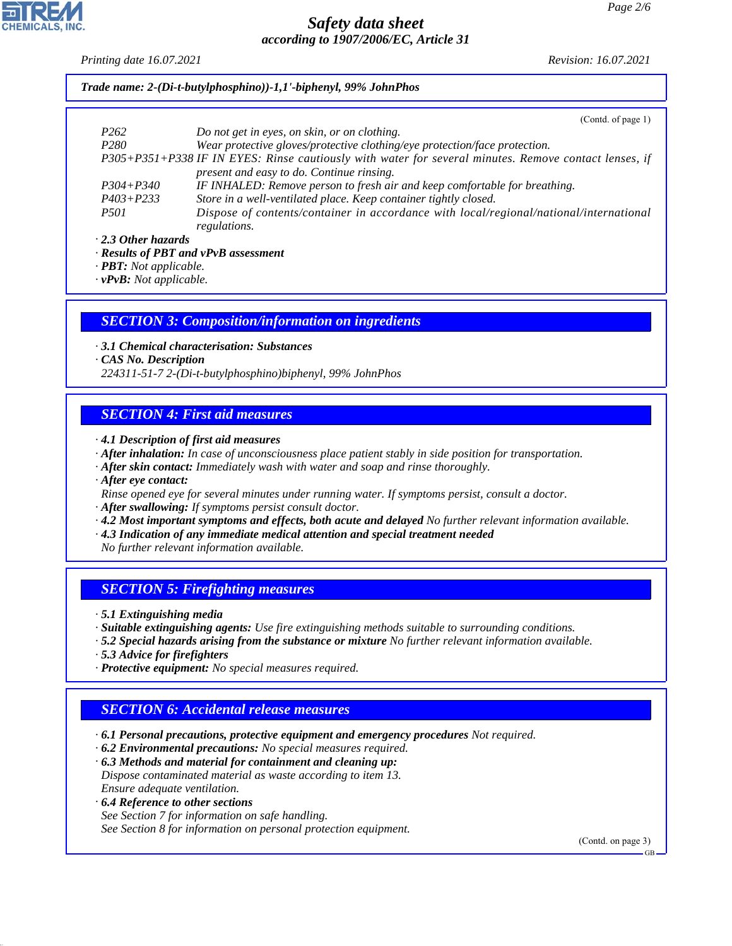*Printing date 16.07.2021 Revision: 16.07.2021*

*Trade name: 2-(Di-t-butylphosphino))-1,1'-biphenyl, 99% JohnPhos*

|                                          | (Contd. of page 1)                                                                                                                                 |
|------------------------------------------|----------------------------------------------------------------------------------------------------------------------------------------------------|
| P <sub>262</sub>                         | Do not get in eyes, on skin, or on clothing.                                                                                                       |
| P <sub>280</sub>                         | Wear protective gloves/protective clothing/eye protection/face protection.                                                                         |
|                                          | P305+P351+P338 IF IN EYES: Rinse cautiously with water for several minutes. Remove contact lenses, if<br>present and easy to do. Continue rinsing. |
| $P304 + P340$                            | IF INHALED: Remove person to fresh air and keep comfortable for breathing.                                                                         |
| $P403 + P233$                            | Store in a well-ventilated place. Keep container tightly closed.                                                                                   |
| <i>P501</i>                              | Dispose of contents/container in accordance with local/regional/national/international<br>regulations.                                             |
| $\cdot$ 2.3 Other hazards                |                                                                                                                                                    |
| $\mathbf{r}$ . $\mathbf{r}$ $\mathbf{r}$ |                                                                                                                                                    |

*· Results of PBT and vPvB assessment*

*· PBT: Not applicable.*

*· vPvB: Not applicable.*

#### *SECTION 3: Composition/information on ingredients*

*· 3.1 Chemical characterisation: Substances*

*· CAS No. Description*

*224311-51-7 2-(Di-t-butylphosphino)biphenyl, 99% JohnPhos*

### *SECTION 4: First aid measures*

- *· 4.1 Description of first aid measures*
- *· After inhalation: In case of unconsciousness place patient stably in side position for transportation.*
- *· After skin contact: Immediately wash with water and soap and rinse thoroughly.*
- *· After eye contact:*
- *Rinse opened eye for several minutes under running water. If symptoms persist, consult a doctor.*
- *· After swallowing: If symptoms persist consult doctor.*
- *· 4.2 Most important symptoms and effects, both acute and delayed No further relevant information available.*
- *· 4.3 Indication of any immediate medical attention and special treatment needed*

*No further relevant information available.*

## *SECTION 5: Firefighting measures*

- *· 5.1 Extinguishing media*
- *· Suitable extinguishing agents: Use fire extinguishing methods suitable to surrounding conditions.*
- *· 5.2 Special hazards arising from the substance or mixture No further relevant information available.*
- *· 5.3 Advice for firefighters*

44.1.1

*· Protective equipment: No special measures required.*

# *SECTION 6: Accidental release measures*

- *· 6.1 Personal precautions, protective equipment and emergency procedures Not required.*
- *· 6.2 Environmental precautions: No special measures required.*
- *· 6.3 Methods and material for containment and cleaning up: Dispose contaminated material as waste according to item 13. Ensure adequate ventilation.*
- *· 6.4 Reference to other sections See Section 7 for information on safe handling. See Section 8 for information on personal protection equipment.*

(Contd. on page 3)

GB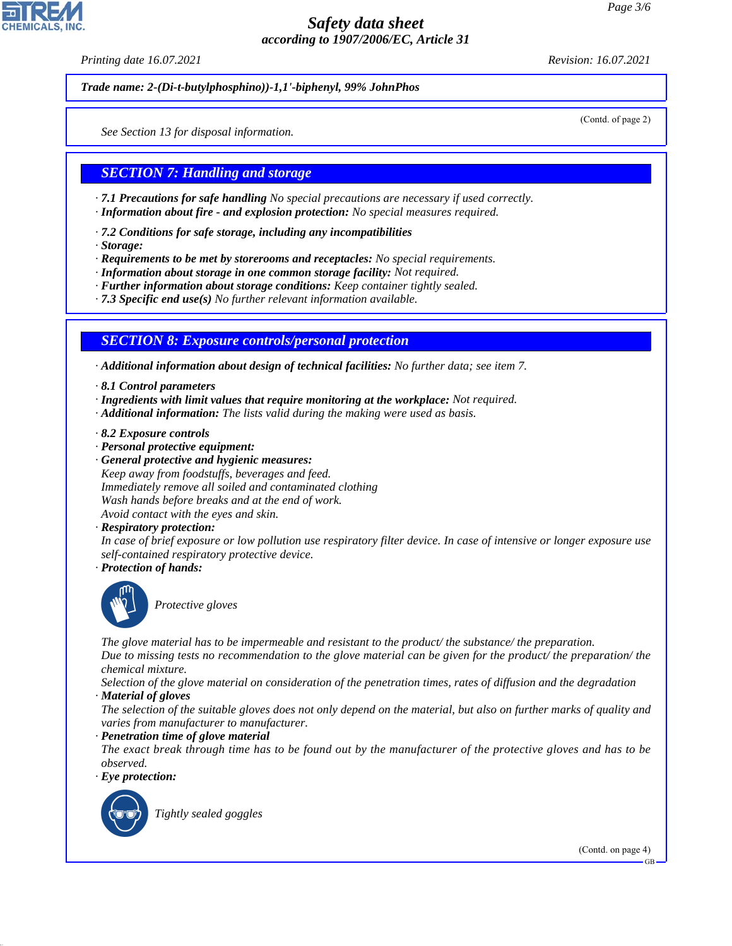*Printing date 16.07.2021 Revision: 16.07.2021*

*Trade name: 2-(Di-t-butylphosphino))-1,1'-biphenyl, 99% JohnPhos*

(Contd. of page 2)

*See Section 13 for disposal information.*

# *SECTION 7: Handling and storage*

*· 7.1 Precautions for safe handling No special precautions are necessary if used correctly.*

- *· Information about fire and explosion protection: No special measures required.*
- *· 7.2 Conditions for safe storage, including any incompatibilities*
- *· Storage:*

*· Requirements to be met by storerooms and receptacles: No special requirements.*

- *· Information about storage in one common storage facility: Not required.*
- *· Further information about storage conditions: Keep container tightly sealed.*
- *· 7.3 Specific end use(s) No further relevant information available.*

## *SECTION 8: Exposure controls/personal protection*

*· Additional information about design of technical facilities: No further data; see item 7.*

- *· 8.1 Control parameters*
- *· Ingredients with limit values that require monitoring at the workplace: Not required.*
- *· Additional information: The lists valid during the making were used as basis.*
- *· 8.2 Exposure controls*
- *· Personal protective equipment:*
- *· General protective and hygienic measures: Keep away from foodstuffs, beverages and feed. Immediately remove all soiled and contaminated clothing Wash hands before breaks and at the end of work. Avoid contact with the eyes and skin.*
- *· Respiratory protection:*

*In case of brief exposure or low pollution use respiratory filter device. In case of intensive or longer exposure use self-contained respiratory protective device.*

*· Protection of hands:*



\_S*Protective gloves*

*The glove material has to be impermeable and resistant to the product/ the substance/ the preparation.*

*Due to missing tests no recommendation to the glove material can be given for the product/ the preparation/ the chemical mixture.*

*Selection of the glove material on consideration of the penetration times, rates of diffusion and the degradation*

*· Material of gloves*

*The selection of the suitable gloves does not only depend on the material, but also on further marks of quality and varies from manufacturer to manufacturer.*

*· Penetration time of glove material*

*The exact break through time has to be found out by the manufacturer of the protective gloves and has to be observed.*

*· Eye protection:*



44.1.1

\_R*Tightly sealed goggles*

(Contd. on page 4)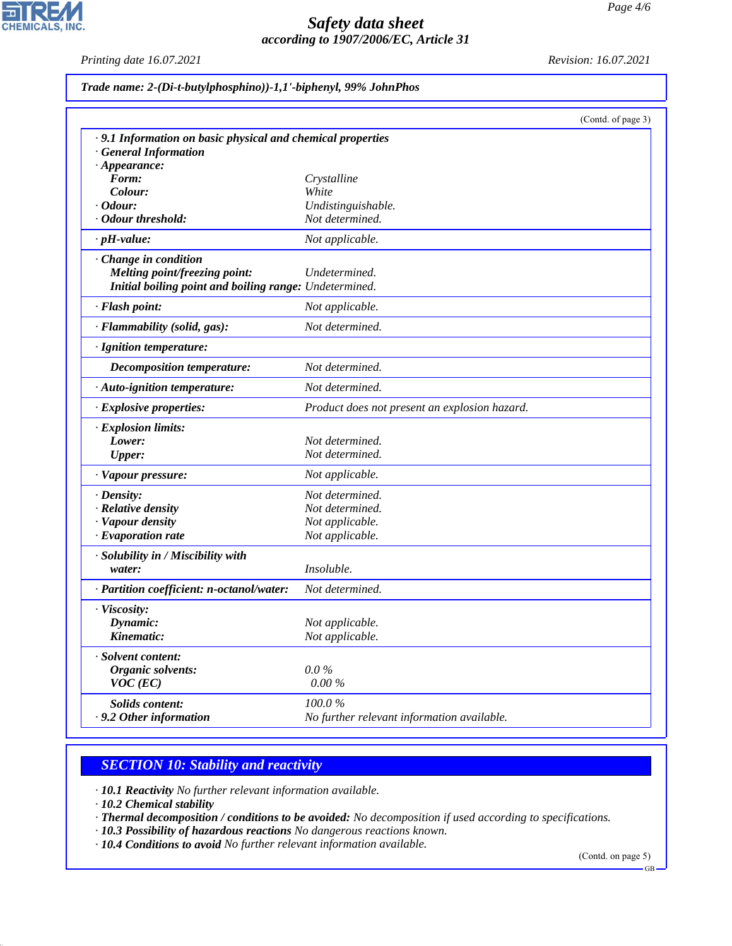*Printing date 16.07.2021 Revision: 16.07.2021*

 $\overline{\mathbf{r}}$ 

**CHEMICALS, INC.** 

| Trade name: 2-(Di-t-butylphosphino))-1,1'-biphenyl, 99% JohnPhos |  |
|------------------------------------------------------------------|--|
|------------------------------------------------------------------|--|

|                                                             |                                               | (Contd. of page 3) |
|-------------------------------------------------------------|-----------------------------------------------|--------------------|
| · 9.1 Information on basic physical and chemical properties |                                               |                    |
| <b>General Information</b>                                  |                                               |                    |
| $\cdot$ Appearance:                                         |                                               |                    |
| Form:                                                       | Crystalline                                   |                    |
| Colour:                                                     | White                                         |                    |
| · Odour:                                                    | Undistinguishable.                            |                    |
| · Odour threshold:                                          | Not determined.                               |                    |
| $\cdot$ pH-value:                                           | Not applicable.                               |                    |
| · Change in condition                                       |                                               |                    |
| Melting point/freezing point:                               | Undetermined.                                 |                    |
| Initial boiling point and boiling range: Undetermined.      |                                               |                    |
| · Flash point:                                              | Not applicable.                               |                    |
| · Flammability (solid, gas):                                | Not determined.                               |                    |
| · Ignition temperature:                                     |                                               |                    |
| <b>Decomposition temperature:</b>                           | Not determined.                               |                    |
| · Auto-ignition temperature:                                | Not determined.                               |                    |
| · Explosive properties:                                     | Product does not present an explosion hazard. |                    |
| · Explosion limits:                                         |                                               |                    |
| Lower:                                                      | Not determined.                               |                    |
| <b>Upper:</b>                                               | Not determined.                               |                    |
| · Vapour pressure:                                          | Not applicable.                               |                    |
| $\cdot$ Density:                                            | Not determined.                               |                    |
| · Relative density                                          | Not determined.                               |                    |
| · Vapour density                                            | Not applicable.                               |                    |
| $\cdot$ Evaporation rate                                    | Not applicable.                               |                    |
| · Solubility in / Miscibility with                          |                                               |                    |
| water:                                                      | <i>Insoluble.</i>                             |                    |
| · Partition coefficient: n-octanol/water:                   | Not determined.                               |                    |
| · Viscosity:                                                |                                               |                    |
| Dynamic:                                                    | Not applicable.                               |                    |
| Kinematic:                                                  | Not applicable.                               |                    |
| · Solvent content:                                          |                                               |                    |
| Organic solvents:                                           | $0.0\%$                                       |                    |
| $VOC$ (EC)                                                  | 0.00 %                                        |                    |
| Solids content:                                             | 100.0%                                        |                    |
| $\cdot$ 9.2 Other information                               | No further relevant information available.    |                    |

# *SECTION 10: Stability and reactivity*

*· 10.1 Reactivity No further relevant information available.*

*· 10.2 Chemical stability*

44.1.1

- *· Thermal decomposition / conditions to be avoided: No decomposition if used according to specifications.*
- *· 10.3 Possibility of hazardous reactions No dangerous reactions known.*

*· 10.4 Conditions to avoid No further relevant information available.*

(Contd. on page 5)

GB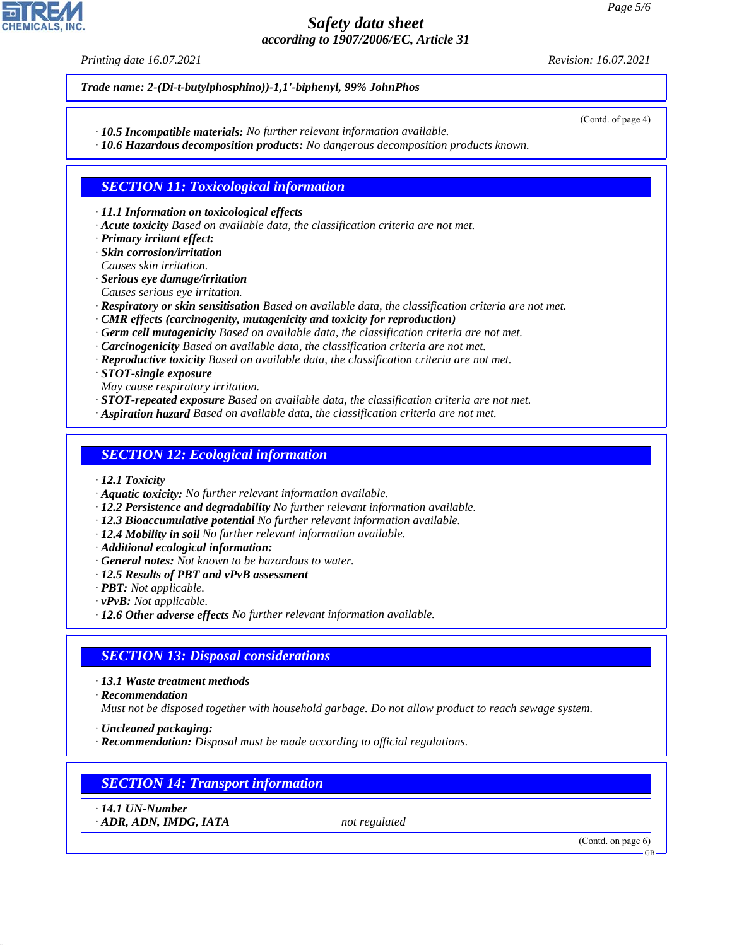*Printing date 16.07.2021 Revision: 16.07.2021*

(Contd. of page 4)

*Trade name: 2-(Di-t-butylphosphino))-1,1'-biphenyl, 99% JohnPhos*

*· 10.5 Incompatible materials: No further relevant information available.*

*· 10.6 Hazardous decomposition products: No dangerous decomposition products known.*

### *SECTION 11: Toxicological information*

*· 11.1 Information on toxicological effects*

- *· Acute toxicity Based on available data, the classification criteria are not met.*
- *· Primary irritant effect:*

*· Skin corrosion/irritation Causes skin irritation.*

- *· Serious eye damage/irritation*
- *Causes serious eye irritation.*
- *· Respiratory or skin sensitisation Based on available data, the classification criteria are not met.*
- *· CMR effects (carcinogenity, mutagenicity and toxicity for reproduction)*
- *· Germ cell mutagenicity Based on available data, the classification criteria are not met.*
- *· Carcinogenicity Based on available data, the classification criteria are not met.*
- *· Reproductive toxicity Based on available data, the classification criteria are not met.*

*· STOT-single exposure*

- *May cause respiratory irritation.*
- *· STOT-repeated exposure Based on available data, the classification criteria are not met.*
- *· Aspiration hazard Based on available data, the classification criteria are not met.*

### *SECTION 12: Ecological information*

- *· 12.1 Toxicity*
- *· Aquatic toxicity: No further relevant information available.*
- *· 12.2 Persistence and degradability No further relevant information available.*
- *· 12.3 Bioaccumulative potential No further relevant information available.*
- *· 12.4 Mobility in soil No further relevant information available.*
- *· Additional ecological information:*
- *· General notes: Not known to be hazardous to water.*
- *· 12.5 Results of PBT and vPvB assessment*
- *· PBT: Not applicable.*
- *· vPvB: Not applicable.*
- *· 12.6 Other adverse effects No further relevant information available.*

## *SECTION 13: Disposal considerations*

*· 13.1 Waste treatment methods*

*· Recommendation*

*Must not be disposed together with household garbage. Do not allow product to reach sewage system.*

- *· Uncleaned packaging:*
- *· Recommendation: Disposal must be made according to official regulations.*

## *SECTION 14: Transport information*

*· 14.1 UN-Number*

44.1.1

*· ADR, ADN, IMDG, IATA not regulated*

(Contd. on page 6)

GB